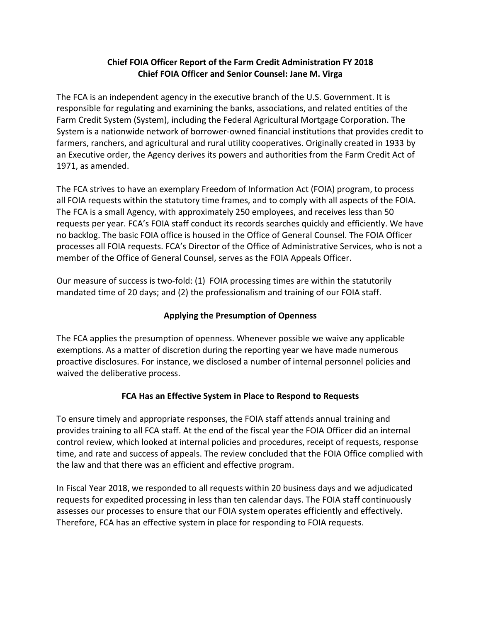# **Chief FOIA Officer Report of the Farm Credit Administration FY 2018 Chief FOIA Officer and Senior Counsel: Jane M. Virga**

The FCA is an independent agency in the executive branch of the U.S. Government. It is responsible for regulating and examining the banks, associations, and related entities of the Farm Credit System (System), including the Federal Agricultural Mortgage Corporation. The System is a nationwide network of borrower-owned financial institutions that provides credit to farmers, ranchers, and agricultural and rural utility cooperatives. Originally created in 1933 by an Executive order, the Agency derives its powers and authorities from the Farm Credit Act of 1971, as amended.

The FCA strives to have an exemplary Freedom of Information Act (FOIA) program, to process all FOIA requests within the statutory time frames, and to comply with all aspects of the FOIA. The FCA is a small Agency, with approximately 250 employees, and receives less than 50 requests per year. FCA's FOIA staff conduct its records searches quickly and efficiently. We have no backlog. The basic FOIA office is housed in the Office of General Counsel. The FOIA Officer processes all FOIA requests. FCA's Director of the Office of Administrative Services, who is not a member of the Office of General Counsel, serves as the FOIA Appeals Officer.

Our measure of success is two-fold: (1) FOIA processing times are within the statutorily mandated time of 20 days; and (2) the professionalism and training of our FOIA staff.

# **Applying the Presumption of Openness**

The FCA applies the presumption of openness. Whenever possible we waive any applicable exemptions. As a matter of discretion during the reporting year we have made numerous proactive disclosures. For instance, we disclosed a number of internal personnel policies and waived the deliberative process.

# **FCA Has an Effective System in Place to Respond to Requests**

To ensure timely and appropriate responses, the FOIA staff attends annual training and provides training to all FCA staff. At the end of the fiscal year the FOIA Officer did an internal control review, which looked at internal policies and procedures, receipt of requests, response time, and rate and success of appeals. The review concluded that the FOIA Office complied with the law and that there was an efficient and effective program.

In Fiscal Year 2018, we responded to all requests within 20 business days and we adjudicated requests for expedited processing in less than ten calendar days. The FOIA staff continuously assesses our processes to ensure that our FOIA system operates efficiently and effectively. Therefore, FCA has an effective system in place for responding to FOIA requests.